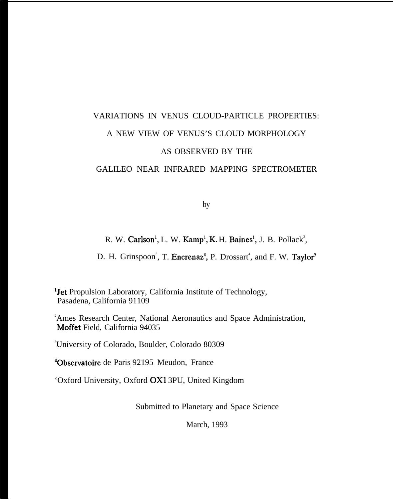# VARIATIONS IN VENUS CLOUD-PARTICLE PROPERTIES: A NEW VIEW OF VENUS'S CLOUD MORPHOLOGY AS OBSERVED BY THE

## GALILEO NEAR INFRARED MAPPING SPECTROMETER

by

## R. W. Carlson<sup>1</sup>, L. W. Kamp<sup>1</sup>, K. H. Baines<sup>1</sup>, J. B. Pollack<sup>2</sup>,

D. H. Grinspoon<sup>3</sup>, T. Encrenaz<sup>4</sup>, P. Drossart<sup>4</sup>, and F. W. Taylor<sup>4</sup>

<sup>1</sup>Jet Propulsion Laboratory, California Institute of Technology, Pasadena, California 91109

<sup>2</sup>Ames Research Center, National Aeronautics and Space Administration, Moffet Field, California 94035

<sup>3</sup>University of Colorado, Boulder, Colorado 80309

<sup>4</sup>Observatoire de Paris, 92195 Meudon, France

'Oxford University, Oxford OX1 3PU, United Kingdom

Submitted to Planetary and Space Science

March, 1993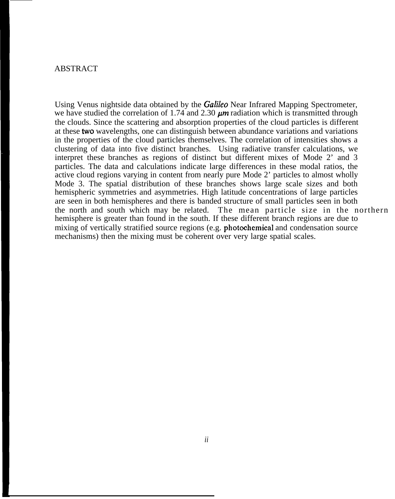#### ABSTRACT

Using Venus nightside data obtained by the *Gafi2eo* Near Infrared Mapping Spectrometer, we have studied the correlation of 1.74 and 2.30  $\mu$ m radiation which is transmitted through the clouds. Since the scattering and absorption properties of the cloud particles is different at these two wavelengths, one can distinguish between abundance variations and variations in the properties of the cloud particles themselves. The correlation of intensities shows a clustering of data into five distinct branches. Using radiative transfer calculations, we interpret these branches as regions of distinct but different mixes of Mode 2' and 3 particles. The data and calculations indicate large differences in these modal ratios, the active cloud regions varying in content from nearly pure Mode 2' particles to almost wholly Mode 3. The spatial distribution of these branches shows large scale sizes and both hemispheric symmetries and asymmetries. High latitude concentrations of large particles are seen in both hemispheres and there is banded structure of small particles seen in both the north and south which may be related. The mean particle size in the northern hemisphere is greater than found in the south. If these different branch regions are due to mixing of vertically stratified source regions (e.g. photochemical and condensation source mechanisms) then the mixing must be coherent over very large spatial scales.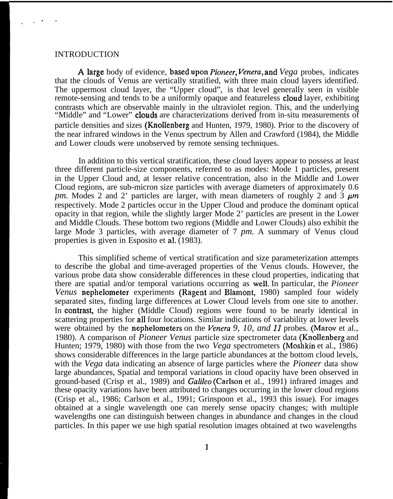#### **INTRODUCTION**

. .

,.

A large body of evidence, based upon *Pioneer*, Venera, and Vega probes, indicates that the clouds of Venus are vertically stratified, with three main cloud layers identified. The uppermost cloud layer, the "Upper cloud", is that level generally seen in visible remote-sensing and tends to be a uniformly opaque and featureless cloud layer, exhibiting contrasts which are observable mainly in the ultraviolet region. This, and the underlying "Middle" and "Lower" **clouds** are characterizations derived from in-situ measurements of particle densities and sizes (Knollenberg and Hunten, 1979, 1980). Prior to the discovery of the near infrared windows in the Venus spectrum by Allen and Crawford (1984), the Middle and Lower clouds were unobserved by remote sensing techniques.

In addition to this vertical stratification, these cloud layers appear to possess at least three different particle-size components, referred to as modes: Mode 1 particles, present in the Upper Cloud and, at lesser relative concentration, also in the Middle and Lower Cloud regions, are sub-micron size particles with average diameters of approximately 0.6 *pm.* Modes 2 and 2' particles are larger, with mean diameters of roughly 2 and  $\dot{3} \mu m$ respectively. Mode 2 particles occur in the Upper Cloud and produce the dominant optical opacity in that region, while the slightly larger Mode 2' particles are present in the Lower and Middle Clouds. These bottom two regions (Middle and Lower Clouds) also exhibit the large Mode 3 particles, with average diameter of 7 *pm.* A summary of Venus cloud properties is given in Esposito et al. (1983).

This simplified scheme of vertical stratification and size parameterization attempts to describe the global and time-averaged properties of the Venus clouds. However, the various probe data show considerable differences in these cloud properties, indicating that there are spatial and/or temporal variations occurring as well. In particular, the *Pioneer Venus* nephelometer experiments (Ragent and Blamont, 1980) sampled four widely separated sites, finding large differences at Lower Cloud levels from one site to another. In contrast, the higher (Middle Cloud) regions were found to be nearly identical in scattering properties for all four locations. Similar indications of variability at lower levels were obtained by the nephelometers on the *Venera 9, 10, and 11* probes. (Marov et al., 1980). A comparison of *Pioneer Venus* particle size spectrometer data (Knollenberg and Hunten; 1979, 1980) with those from the two *Vega* spectrometers (Moshkin et al., 1986) shows considerable differences in the large particle abundances at the bottom cloud levels, with the *Vega* data indicating an absence of large particles where the *Pioneer* data show large abundances, Spatial and temporal variations in cloud opacity have been observed in ground-based (Crisp et al., 1989) and *Gafileo* (Carlson et al., 1991) infrared images and these opacity variations have been attributed to changes occurring in the lower cloud regions (Crisp et al., 1986; Carlson et al., 1991; Grinspoon et al., 1993 this issue). For images obtained at a single wavelength one can merely sense opacity changes; with multiple wavelengths one can distinguish between changes in abundance and changes in the cloud particles. In this paper we use high spatial resolution images obtained at two wavelengths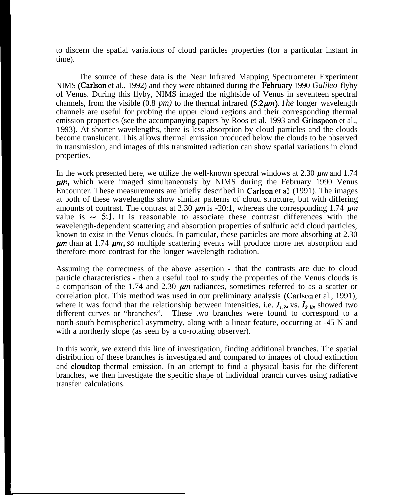to discern the spatial variations of cloud particles properties (for a particular instant in time).

The source of these data is the Near Infrared Mapping Spectrometer Experiment NIMS (Carlson et al., 1992) and they were obtained during the February 1990 *Galileo* flyby of Venus. During this flyby, NIMS imaged the nightside of Venus in seventeen spectral channels, from the visible  $(0.8 \text{ pm})$  to the thermal infrared  $(5.2 \mu m)$ . The longer wavelength channels are useful for probing the upper cloud regions and their corresponding thermal emission properties (see the accompanying papers by Roos et al. 1993 and Grinspoon et al., 1993). At shorter wavelengths, there is less absorption by cloud particles and the clouds become translucent. This allows thermal emission produced below the clouds to be observed in transmission, and images of this transmitted radiation can show spatial variations in cloud properties,

In the work presented here, we utilize the well-known spectral windows at 2.30  $\mu$ m and 1.74 *pm,* which were imaged simultaneously by NIMS during the February 1990 Venus Encounter. These measurements are briefly described in Carlson et al. (1991). The images at both of these wavelengths show similar patterns of cloud structure, but with differing amounts of contrast. The contrast at 2.30  $\mu$ m is -20:1, whereas the corresponding 1.74  $\mu$ m value is  $\sim$  5:1. It is reasonable to associate these contrast differences with the wavelength-dependent scattering and absorption properties of sulfuric acid cloud particles, known to exist in the Venus clouds. In particular, these particles are more absorbing at 2.30 *pm* than at 1.74 *pm, so* multiple scattering events will produce more net absorption and therefore more contrast for the longer wavelength radiation.

Assuming the correctness of the above assertion - that the contrasts are due to cloud particle characteristics - then a useful tool to study the properties of the Venus clouds is a comparison of the 1.74 and 2.30  $\mu$ m radiances, sometimes referred to as a scatter or correlation plot. This method was used in our preliminary analysis (Carlson et al., 1991), where it was found that the relationship between intensities, i.e.  $I_{1,74}$  vs.  $I_{2,30}$ , showed two different curves or "branches". These two branches were found to correspond to a north-south hemispherical asymmetry, along with a linear feature, occurring at -45 N and with a northerly slope (as seen by a co-rotating observer).

In this work, we extend this line of investigation, finding additional branches. The spatial distribution of these branches is investigated and compared to images of cloud extinction and cloudtop thermal emission. In an attempt to find a physical basis for the different branches, we then investigate the specific shape of individual branch curves using radiative transfer calculations.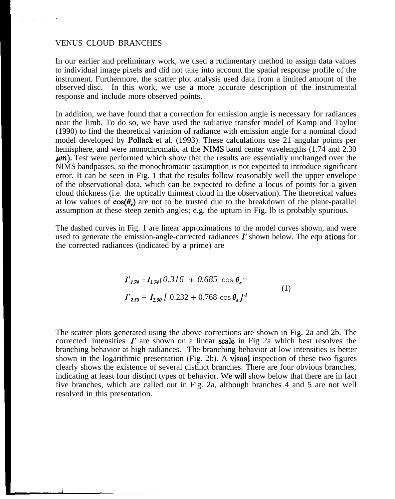#### VENUS CLOUD BRANCHES

In our earlier and preliminary work, we used a rudimentary method to assign data values to individual image pixels and did not take into account the spatial response profile of the instrument. Furthermore, the scatter plot analysis used data from a limited amount of the observed disc. In this work, we use a more accurate description of the instrumental response and include more observed points.

In addition, we have found that a correction for emission angle is necessary for radiances near the limb. To do so, we have used the radiative transfer model of Kamp and Taylor (1990) to find the theoretical variation of radiance with emission angle for a nominal cloud model developed by **Pollack** et al. (1993). These calculations use 21 angular points per hemisphere, and were monochromatic at the NIMS band center wavelengths (1.74 and 2.30) *pm).* Test were performed which show that the results are essentially unchanged over the NIMS bandpasses, so the monochromatic assumption is not expected to introduce significant error. It can be seen in Fig. 1 that the results follow reasonably well the upper envelope of the observational data, which can be expected to define a locus of points for a given cloud thickness (i.e. the optically thinnest cloud in the observation). The theoretical values at low values of  $cos(\theta)$  are not to be trusted due to the breakdown of the plane-parallel assumption at these steep zenith angles; e.g. the upturn in Fig. lb is probably spurious.

The dashed curves in Fig. 1 are linear approximations to the model curves shown, and were used to generate the emission-angle-corrected radiances  $I'$  shown below. The equ ations for the corrected radiances (indicated by a prime) are

$$
I'_{1.74} = I_{1.74} [ 0.316 + 0.685 \cos \theta_{\epsilon}]
$$
  
\n
$$
I'_{2.30} = I_{2.30} [ 0.232 + 0.768 \cos \theta_{\epsilon}]
$$
<sup>1</sup> (1)

The scatter plots generated using the above corrections are shown in Fig. 2a and 2b. The corrected intensities  $I'$  are shown on a linear scale in Fig 2a which best resolves the branching behavior at high radiances. The branching behavior at low intensities is better shown in the logarithmic presentation (Fig. 2b). A **visual** inspection of these two figures clearly shows the existence of several distinct branches. There are four obvious branches, indicating at least four distinct types of behavior. We will show below that there are in fact five branches, which are called out in Fig. 2a, although branches 4 and 5 are not well resolved in this presentation.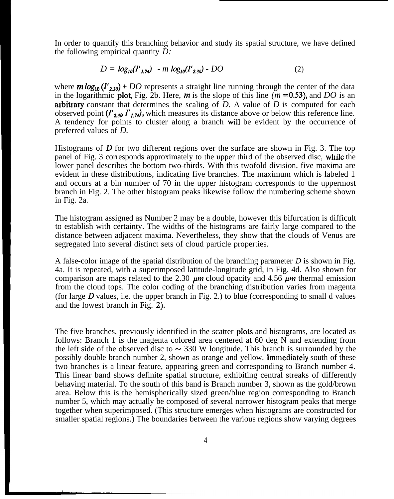In order to quantify this branching behavior and study its spatial structure, we have defined the following empirical quantity *D:*

$$
D = log_{10}(I'_{1.74}) - m log_{10}(I'_{2.30}) - DO \tag{2}
$$

where  $m \log_{10} (I'_{230}) + DO$  represents a straight line running through the center of the data in the logarithmic plot, Fig. 2b. Here,  $m$  is the slope of this line  $(m = 0.53)$ , and *DO* is an arbitraxy constant that determines the scaling of *D.* A value of *D* is computed for each observed point  $(I'_{230} I'_{1.74})$ , which measures its distance above or below this reference line. A tendency for points to cluster along a branch will be evident by the occurrence of preferred values of *D.*

Histograms of  $\bm{D}$  for two different regions over the surface are shown in Fig. 3. The top panel of Fig. 3 corresponds approximately to the upper third of the observed disc, while the lower panel describes the bottom two-thirds. With this twofold division, five maxima are evident in these distributions, indicating five branches. The maximum which is labeled 1 and occurs at a bin number of 70 in the upper histogram corresponds to the uppermost branch in Fig. 2. The other histogram peaks likewise follow the numbering scheme shown in Fig. 2a.

The histogram assigned as Number 2 may be a double, however this bifurcation is difficult to establish with certainty. The widths of the histograms are fairly large compared to the distance between adjacent maxima. Nevertheless, they show that the clouds of Venus are segregated into several distinct sets of cloud particle properties.

A false-color image of the spatial distribution of the branching parameter *D* is shown in Fig. 4a. It is repeated, with a superimposed latitude-longitude grid, in Fig. 4d. Also shown for comparison are maps related to the 2.30  $\mu$ m cloud opacity and 4.56  $\mu$ m thermal emission from the cloud tops. The color coding of the branching distribution varies from magenta (for large  $D$  values, i.e. the upper branch in Fig. 2.) to blue (corresponding to small d values and the lowest branch in Fig. 2).

The five branches, previously identified in the scatter **plots** and histograms, are located as follows: Branch 1 is the magenta colored area centered at 60 deg N and extending from the left side of the observed disc to  $\sim$  330 W longitude. This branch is surrounded by the possibly double branch number 2, shown as orange and yellow. **Immediately** south of these two branches is a linear feature, appearing green and corresponding to Branch number 4. This linear band shows definite spatial structure, exhibiting central streaks of differently behaving material. To the south of this band is Branch number 3, shown as the gold/brown area. Below this is the hemispherically sized green/blue region corresponding to Branch number 5, which may actually be composed of several narrower histogram peaks that merge together when superimposed. (This structure emerges when histograms are constructed for smaller spatial regions.) The boundaries between the various regions show varying degrees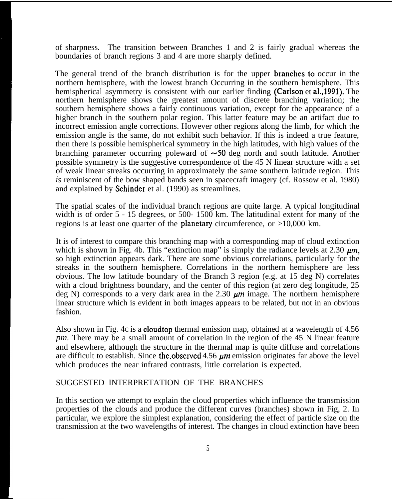of sharpness. The transition between Branches 1 and 2 is fairly gradual whereas the boundaries of branch regions 3 and 4 are more sharply defined.

The general trend of the branch distribution is for the upper **branches to** occur in the northern hemisphere, with the lowest branch Occurring in the southern hemisphere. This hemispherical asymmetry is consistent with our earlier finding (Carlson et al., 1991). The northern hemisphere shows the greatest amount of discrete branching variation; the southern hemisphere shows a fairly continuous variation, except for the appearance of a higher branch in the southern polar region. This latter feature may be an artifact due to incorrect emission angle corrections. However other regions along the limb, for which the emission angle is the same, do not exhibit such behavior. If this is indeed a true feature, then there is possible hemispherical symmetry in the high latitudes, with high values of the branching parameter occurring poleward of  $\sim 50$  deg north and south latitude. Another possible symmetry is the suggestive correspondence of the 45 N linear structure with a set of weak linear streaks occurring in approximately the same southern latitude region. This *is* reminiscent of the bow shaped bands seen in spacecraft imagery (cf. Rossow et al. 1980) and explained by Schinder et al. (1990) as streamlines.

The spatial scales of the individual branch regions are quite large. A typical longitudinal width is of order 5 - 15 degrees, or 500- 1500 km. The latitudinal extent for many of the regions is at least one quarter of the **planetary** circumference, or  $>10,000$  km.

It is of interest to compare this branching map with a corresponding map of cloud extinction which is shown in Fig. 4b. This "extinction map" is simply the radiance levels at 2.30  $\mu$ m. so high extinction appears dark. There are some obvious correlations, particularly for the streaks in the southern hemisphere. Correlations in the northern hemisphere are less obvious. The low latitude boundary of the Branch 3 region (e.g. at 15 deg N) correlates with a cloud brightness boundary, and the center of this region (at zero deg longitude, 25 deg N) corresponds to a very dark area in the 2.30  $\mu$ m image. The northern hemisphere linear structure which is evident in both images appears to be related, but not in an obvious fashion.

Also shown in Fig. 4C is a cloudtop thermal emission map, obtained at a wavelength of 4.56 *pm.* There may be a small amount of correlation in the region of the 45 N linear feature and elsewhere, although the structure in the thermal map is quite diffuse and correlations are difficult to establish. Since the observed  $4.56 \mu m$  emission originates far above the level which produces the near infrared contrasts, little correlation is expected.

### SUGGESTED INTERPRETATION OF THE BRANCHES

In this section we attempt to explain the cloud properties which influence the transmission properties of the clouds and produce the different curves (branches) shown in Fig, 2. In particular, we explore the simplest explanation, considering the effect of particle size on the transmission at the two wavelengths of interest. The changes in cloud extinction have been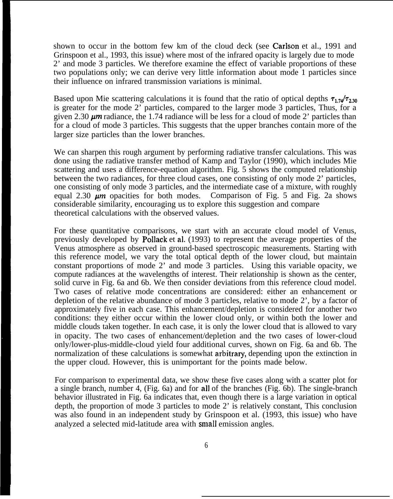shown to occur in the bottom few km of the cloud deck (see Carlson et al., 1991 and Grinspoon et al., 1993, this issue) where most of the infrared opacity is largely due to mode 2' and mode 3 particles. We therefore examine the effect of variable proportions of these two populations only; we can derive very little information about mode 1 particles since their influence on infrared transmission variations is minimal.

Based upon Mie scattering calculations it is found that the ratio of optical depths  $\tau_{1.7}/\tau_{2.30}$ is greater for the mode 2' particles, compared to the larger mode 3 particles, Thus, for a given 2.30  $\mu$ m radiance, the 1.74 radiance will be less for a cloud of mode 2' particles than for a cloud of mode 3 particles. This suggests that the upper branches contain more of the larger size particles than the lower branches.

We can sharpen this rough argument by performing radiative transfer calculations. This was done using the radiative transfer method of Kamp and Taylor (1990), which includes Mie scattering and uses a difference-equation algorithm. Fig. 5 shows the computed relationship between the two radiances, for three cloud cases, one consisting of only mode 2' particles, one consisting of only mode 3 particles, and the intermediate case of a mixture, with roughly equal 2.30  $\mu$ m opacities for both modes. Comparison of Fig. 5 and Fig. 2a shows considerable similarity, encouraging us to explore this suggestion and compare theoretical calculations with the observed values.

For these quantitative comparisons, we start with an accurate cloud model of Venus, previously developed by Pollack et al. (1993) to represent the average properties of the Venus atmosphere as observed in ground-based spectroscopic measurements. Starting with this reference model, we vary the total optical depth of the lower cloud, but maintain constant proportions of mode 2' and mode 3 particles. Using this variable opacity, we compute radiances at the wavelengths of interest. Their relationship is shown as the center, solid curve in Fig. 6a and 6b. We then consider deviations from this reference cloud model. Two cases of relative mode concentrations are considered: either an enhancement or depletion of the relative abundance of mode 3 particles, relative to mode 2', by a factor of approximately five in each case. This enhancement/depletion is considered for another two conditions: they either occur within the lower cloud only, or within both the lower and middle clouds taken together. In each case, it is only the lower cloud that is allowed to vary in opacity. The two cases of enhancement/depletion and the two cases of lower-cloud only/lower-plus-middle-cloud yield four additional curves, shown on Fig. 6a and 6b. The normalization of these calculations is somewhat **arbitrary**, depending upon the extinction in the upper cloud. However, this is unimportant for the points made below.

For comparison to experimental data, we show these five cases along with a scatter plot for a single branch, number 4, (Fig. 6a) and for all of the branches (Fig. 6b). The single-branch behavior illustrated in Fig. 6a indicates that, even though there is a large variation in optical depth, the proportion of mode 3 particles to mode 2' is relatively constant, This conclusion was also found in an independent study by Grinspoon et al. (1993, this issue) who have analyzed a selected mid-latitude area with small emission angles.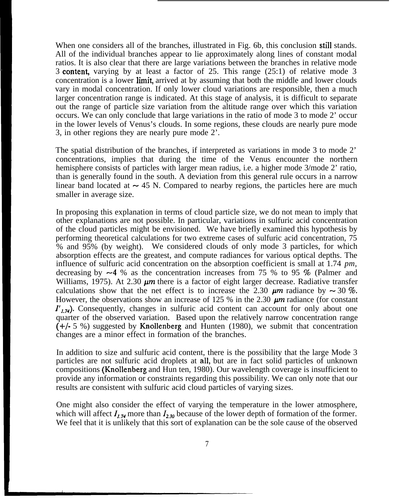When one considers all of the branches, illustrated in Fig. 6b, this conclusion still stands. All of the individual branches appear to lie approximately along lines of constant modal ratios. It is also clear that there are large variations between the branches in relative mode 3 content, varying by at least a factor of 25. This range  $(25:1)$  of relative mode 3 concentration is a lower **limit**, arrived at by assuming that both the middle and lower clouds vary in modal concentration. If only lower cloud variations are responsible, then a much larger concentration range is indicated. At this stage of analysis, it is difficult to separate out the range of particle size variation from the altitude range over which this variation occurs. We can only conclude that large variations in the ratio of mode 3 to mode 2' occur in the lower levels of Venus's clouds. In some regions, these clouds are nearly pure mode 3, in other regions they are nearly pure mode 2'.

The spatial distribution of the branches, if interpreted as variations in mode 3 to mode 2' concentrations, implies that during the time of the Venus encounter the northern hemisphere consists of particles with larger mean radius, i.e. a higher mode 3/mode 2' ratio, than is generally found in the south. A deviation from this general rule occurs in a narrow linear band located at  $\sim$  45 N. Compared to nearby regions, the particles here are much smaller in average size.

In proposing this explanation in terms of cloud particle size, we do not mean to imply that other explanations are not possible. In particular, variations in sulfuric acid concentration of the cloud particles might be envisioned. We have briefly examined this hypothesis by performing theoretical calculations for two extreme cases of sulfuric acid concentration, 75 % and 95% (by weight). We considered clouds of only mode 3 particles, for which absorption effects are the greatest, and compute radiances for various optical depths. The influence of sulfuric acid concentration on the absorption coefficient is small at 1.74 *pm,* decreasing by  $-4$  % as the concentration increases from 75 % to 95 % (Palmer and Williams, 1975). At 2.30  $\mu$ m there is a factor of eight larger decrease. Radiative transfer calculations show that the net effect is to increase the 2.30  $\mu$ m radiance by  $\sim$  30 %. However, the observations show an increase of 125 % in the 2.30  $\mu$ m radiance (for constant  $l'_{1,74}$ ). Consequently, changes in sulfuric acid content can account for only about one quarter of the observed variation. Based upon the relatively narrow concentration range (+/- 5 %) suggested by Knollenberg and Hunten (1980), we submit that concentration changes are a minor effect in formation of the branches.

In addition to size and sulfuric acid content, there is the possibility that the large Mode 3 particles are not sulfuric acid droplets at all, but are in fact solid particles of unknown compositions (Knollenberg and Hun ten, 1980). Our wavelength coverage is insufficient to provide any information or constraints regarding this possibility. We can only note that our results are consistent with sulfuric acid cloud particles of varying sizes.

One might also consider the effect of varying the temperature in the lower atmosphere, which will affect  $I_{1,74}$  more than  $I_{2,30}$  because of the lower depth of formation of the former. We feel that it is unlikely that this sort of explanation can be the sole cause of the observed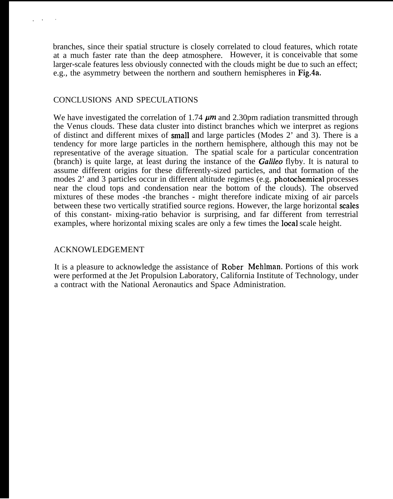branches, since their spatial structure is closely correlated to cloud features, which rotate at a much faster rate than the deep atmosphere. However, it is conceivable that some larger-scale features less obviously connected with the clouds might be due to such an effect; e.g., the asymmetry between the northern and southern hemispheres in Fig.4a.

## CONCLUSIONS AND SPECULATIONS

,,.

We have investigated the correlation of 1.74  $\mu$ m and 2.30pm radiation transmitted through the Venus clouds. These data cluster into distinct branches which we interpret as regions of distinct and different mixes of small and large particles (Modes 2' and 3). There is a tendency for more large particles in the northern hemisphere, although this may not be representative of the average situation. The spatial scale for a particular concentration (branch) is quite large, at least during the instance of the *Galifeo* flyby. It is natural to assume different origins for these differently-sized particles, and that formation of the modes 2' and 3 particles occur in different altitude regimes (e.g. photochemical processes near the cloud tops and condensation near the bottom of the clouds). The observed mixtures of these modes -the branches - might therefore indicate mixing of air parcels between these two vertically stratified source regions. However, the large horizontal scales of this constant- mixing-ratio behavior is surprising, and far different from terrestrial examples, where horizontal mixing scales are only a few times the local scale height.

#### ACKNOWLEDGEMENT

It is a pleasure to acknowledge the assistance of Rober Mehhnan. Portions of this work were performed at the Jet Propulsion Laboratory, California Institute of Technology, under a contract with the National Aeronautics and Space Administration.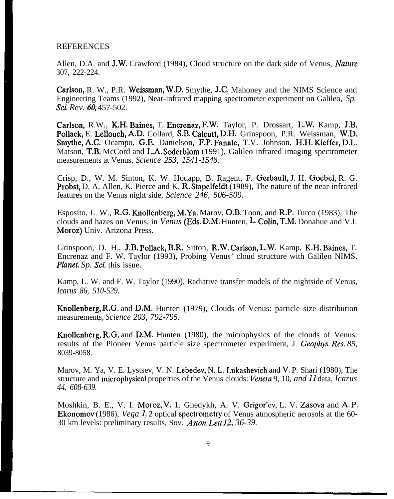#### REFERENCES

Allen, D.A. and **J.W.** Crawford (1984), Cloud structure on the dark side of Venus, *Nature* 307, 222-224.

Carlson, R. W., P.R. Weissman, W.D. Smythe, J.C. Mahoney and the NIMS Science and Engineering Teams (1992), Near-infrared mapping spectrometer experiment on Galileo, *Sp. SCL Rev.* 6Q 457-502.

Carlson, R.W., K.H. Baines, T. Encrenaz, F.W. Taylor, P. Drossart, L.W. Kamp, J.B. Pollack, E. Lellouch, A.D. Collard, S.B. Calcutt, D.H. Grinspoon, P.R. Weissman, W.D. Smythe, A.C. Ocampo, G.E. Danielson, F.P. Fanale, T.V. Johnson, H.H. Kieffer, D.L. Matson, T.B. McCord and L.A. Soderblom (1991), Galileo infrared imaging spectrometer measurements at Venus, *Science 253, 1541-1548.*

Crisp, D., W. M. Sinton, K. W. Hodapp, B. Ragent, F. Gerbault, J. H. Goebel, R. G. Probst, D. A. Allen, K. Pierce and K. R. Stapelfeldt (1989), The nature of the near-infrared features on the Venus night side, *Science 246, 506-509.*

Esposito, L. W., R.G. Knollenberg, M.Ya. Marov, O.B. Toon, and R.P. Turco (1983), The clouds and hazes on Venus, in *Venus* (Eds. D.M. Hunten, L. Colin, T.M. Donahue and V.I. Moroz) Univ. Arizona Press.

Grinspoon, D. H., J.B. Pollack, B.R. Sitton, R.W. Carlson, L.W. Kamp, K.H. Baines, T. Encrenaz and F. W. Taylor (1993), Probing Venus' cloud structure with Galileo NIMS, *Planet. Sp. Sci.* this issue.

Kamp, L. W. and F. W. Taylor (1990), Radiative transfer models of the nightside of Venus, *Icarus 86, 510-529.*

Knollenberg, R.G. and D.M. Hunten (1979), Clouds of Venus: particle size distribution measurements, *Science 203, 792-795.*

Knollenberg, R.G. and D.M. Hunten (1980), the microphysics of the clouds of Venus: results of the Pioneer Venus particle size spectrometer experiment, J. *Geophys. Res. 85,* 8039-8058.

Marov, M. Ya, V. E. Lystsev, V. N. Lebedev, N. L. Lukashevich and V. P. Shari (1980), The structure and microphysical properties of the Venus clouds: *Venera* 9, 10, *and 11* data, *Icarus 44, 608-639.*

Moshkin, B. E., V. I. Moroz, V. 1. Gnedykh, A. V. Grigor'ev, L. V. Zasova and A. P. Ekonomov (1986), *Vega 1,* 2 optical spectrometry of Venus atmospheric aerosols at the 60- 30 km levels: preliminary results, Sov. *Aston. Lett 12, 36-39.*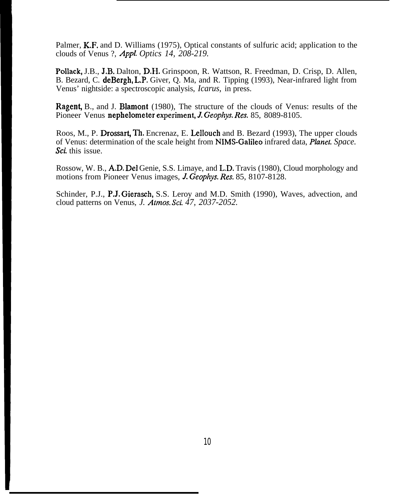Palmer, K.F. and D. Williams (1975), Optical constants of sulfuric acid; application to the clouds of Venus ?, *Appl. Optics 14, 208-219.*

Pollack, J.B., J.B. Dalton, D.H. Grinspoon, R. Wattson, R. Freedman, D. Crisp, D. Allen, B. Bezard, C. deBergh, L.P. Giver, Q. Ma, and R. Tipping (1993), Near-infrared light from Venus' nightside: a spectroscopic analysis, *Icarus,* in press.

**Ragent, B., and J. Blamont** (1980), The structure of the clouds of Venus: results of the Pioneer Venus nephelometer experiment, J. Geophys. Res. 85, 8089-8105.

Roos, M., P. Drossart, Th. Encrenaz, E. Lellouch and B. Bezard (1993), The upper clouds of Venus: determination of the scale height from NIMS-Galileo infrared data, *Planet. Space. Sci.* this issue.

Rossow, W. B., A.D. Del Genie, S.S. Limaye, and L.D. Travis (1980), Cloud morphology and motions from Pioneer Venus images, L *Geophys. Res.* 85, 8107-8128.

Schinder, P.J., P.J. Gierasch, S.S. Leroy and M.D. Smith (1990), Waves, advection, and cloud patterns on Venus, *J. Almos. Sci. 47, 2037-2052.*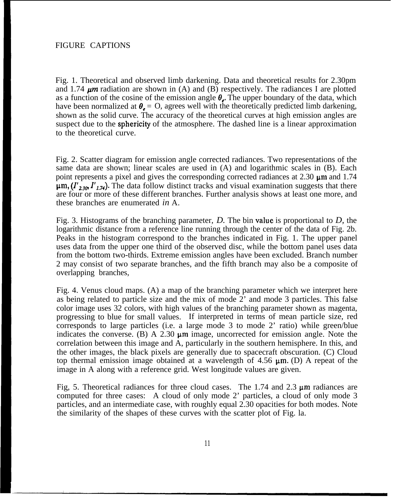Fig. 1. Theoretical and observed limb darkening. Data and theoretical results for 2.30pm and 1.74  $\mu$ m radiation are shown in (A) and (B) respectively. The radiances I are plotted as a function of the cosine of the emission angle  $\theta_{\epsilon}$ . The upper boundary of the data, which have been normalized at  $\theta_e = 0$ , agrees well with the theoretically predicted limb darkening, shown as the solid curve. The accuracy of the theoretical curves at high emission angles are suspect due to the **sphericity** of the atmosphere. The dashed line is a linear approximation to the theoretical curve.

Fig. 2. Scatter diagram for emission angle corrected radiances. Two representations of the same data are shown; linear scales are used in (A) and logarithmic scales in (B). Each point represents a pixel and gives the corresponding corrected radiances at 2.30  $\mu$ m and 1.74  $~\mu$ m, ( $I'_{2,30}$ ,  $I'_{1,74}$ ). The data follow distinct tracks and visual examination suggests that there are four or more of these different branches. Further analysis shows at least one more, and these branches are enumerated *in* A.

Fig. 3. Histograms of the branching parameter, *D.* The bin value is proportional to *D,* the logarithmic distance from a reference line running through the center of the data of Fig. 2b. Peaks in the histogram correspond to the branches indicated in Fig. 1. The upper panel uses data from the upper one third of the observed disc, while the bottom panel uses data from the bottom two-thirds. Extreme emission angles have been excluded. Branch number 2 may consist of two separate branches, and the fifth branch may also be a composite of overlapping branches,

Fig. 4. Venus cloud maps. (A) a map of the branching parameter which we interpret here as being related to particle size and the mix of mode 2' and mode 3 particles. This false color image uses 32 colors, with high values of the branching parameter shown as magenta, progressing to blue for small values. If interpreted in terms of mean particle size, red corresponds to large particles (i.e. a large mode 3 to mode 2' ratio) while green/blue indicates the converse. (B) A 2.30  $\mu$ m image, uncorrected for emission angle. Note the correlation between this image and A, particularly in the southern hemisphere. In this, and the other images, the black pixels are generally due to spacecraft obscuration. (C) Cloud top thermal emission image obtained at a wavelength of 4.56  $\mu$ m. (D) A repeat of the image in A along with a reference grid. West longitude values are given.

Fig, 5. Theoretical radiances for three cloud cases. The 1.74 and 2.3  $\mu$ m radiances are computed for three cases: A cloud of only mode 2' particles, a cloud of only mode 3 particles, and an intermediate case, with roughly equal 2.30 opacities for both modes. Note the similarity of the shapes of these curves with the scatter plot of Fig. la.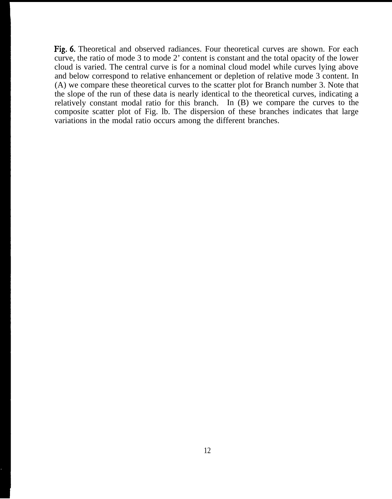Fig.6. Theoretical and observed radiances. Four theoretical curves are shown. For each curve, the ratio of mode 3 to mode 2' content is constant and the total opacity of the lower cloud is varied. The central curve is for a nominal cloud model while curves lying above and below correspond to relative enhancement or depletion of relative mode 3 content. In (A) we compare these theoretical curves to the scatter plot for Branch number 3. Note that the slope of the run of these data is nearly identical to the theoretical curves, indicating a relatively constant modal ratio for this branch. In (B) we compare the curves to the composite scatter plot of Fig. lb. The dispersion of these branches indicates that large variations in the modal ratio occurs among the different branches.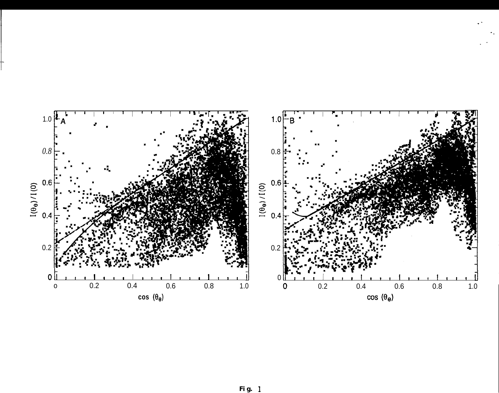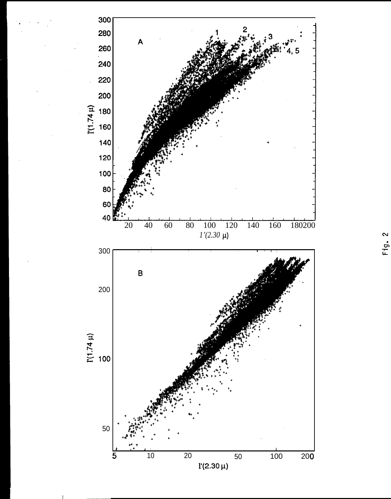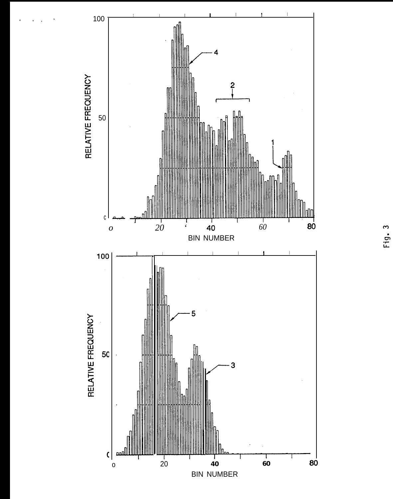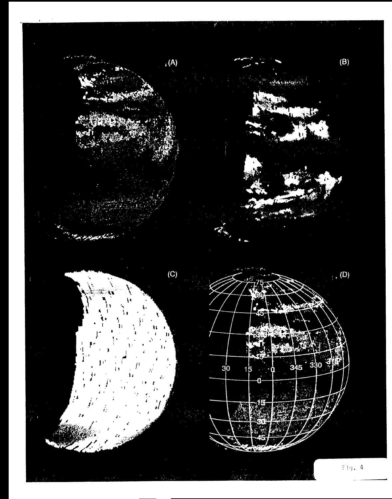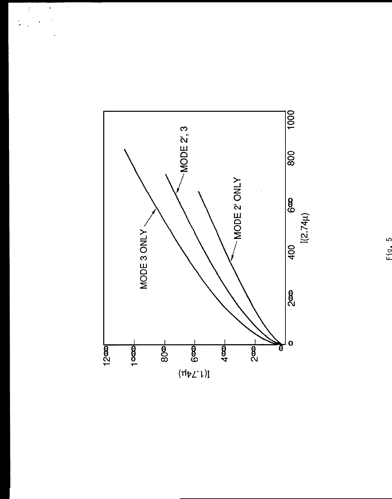

 $\begin{array}{c}\n\bullet \\
\bullet \\
\bullet\n\end{array}$ 

 $\begin{bmatrix} 1 \\ 2 \\ 3 \end{bmatrix}$  $\frac{1}{\sqrt{2}}$   $\frac{1}{2}$